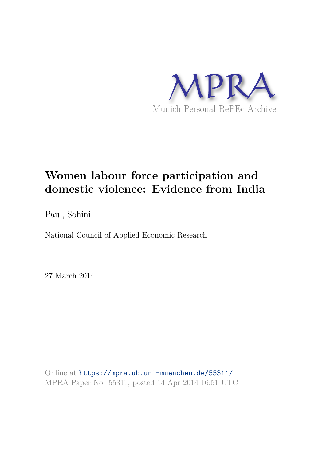

# **Women labour force participation and domestic violence: Evidence from India**

Paul, Sohini

National Council of Applied Economic Research

27 March 2014

Online at https://mpra.ub.uni-muenchen.de/55311/ MPRA Paper No. 55311, posted 14 Apr 2014 16:51 UTC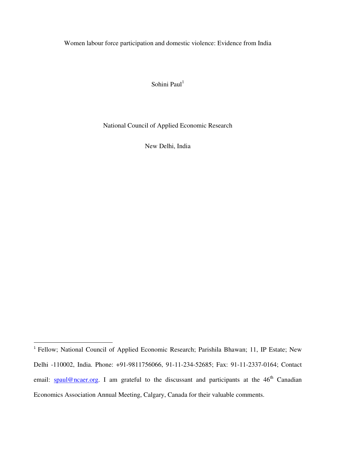Women labour force participation and domestic violence: Evidence from India

Sohini Paul<sup>1</sup>

National Council of Applied Economic Research

New Delhi, India

<sup>&</sup>lt;sup>1</sup> Fellow; National Council of Applied Economic Research; Parishila Bhawan; 11, IP Estate; New Delhi -110002, India. Phone: +91-9811756066, 91-11-234-52685; Fax: 91-11-2337-0164; Contact email: spaul@ncaer.org. I am grateful to the discussant and participants at the 46<sup>th</sup> Canadian Economics Association Annual Meeting, Calgary, Canada for their valuable comments.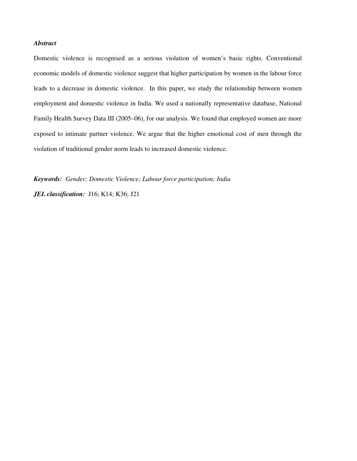#### *Abstract*

Domestic violence is recognised as a serious violation of women's basic rights. Conventional economic models of domestic violence suggest that higher participation by women in the labour force leads to a decrease in domestic violence. In this paper, we study the relationship between women employment and domestic violence in India. We used a nationally representative database, National Family Health Survey Data III (2005–06), for our analysis. We found that employed women are more exposed to intimate partner violence. We argue that the higher emotional cost of men through the violation of traditional gender norm leads to increased domestic violence.

*Keywords: Gender; Domestic Violence; Labour force participation; India* 

*JEL classification:* J16; K14; K36; J21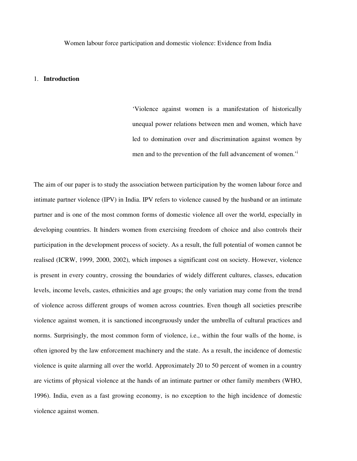Women labour force participation and domestic violence: Evidence from India

#### 1. **Introduction**

'Violence against women is a manifestation of historically unequal power relations between men and women, which have led to domination over and discrimination against women by men and to the prevention of the full advancement of women.'<sup>i</sup>

The aim of our paper is to study the association between participation by the women labour force and intimate partner violence (IPV) in India. IPV refers to violence caused by the husband or an intimate partner and is one of the most common forms of domestic violence all over the world, especially in developing countries. It hinders women from exercising freedom of choice and also controls their participation in the development process of society. As a result, the full potential of women cannot be realised (ICRW, 1999, 2000, 2002), which imposes a significant cost on society. However, violence is present in every country, crossing the boundaries of widely different cultures, classes, education levels, income levels, castes, ethnicities and age groups; the only variation may come from the trend of violence across different groups of women across countries. Even though all societies prescribe violence against women, it is sanctioned incongruously under the umbrella of cultural practices and norms. Surprisingly, the most common form of violence, i.e., within the four walls of the home, is often ignored by the law enforcement machinery and the state. As a result, the incidence of domestic violence is quite alarming all over the world. Approximately 20 to 50 percent of women in a country are victims of physical violence at the hands of an intimate partner or other family members (WHO, 1996). India, even as a fast growing economy, is no exception to the high incidence of domestic violence against women.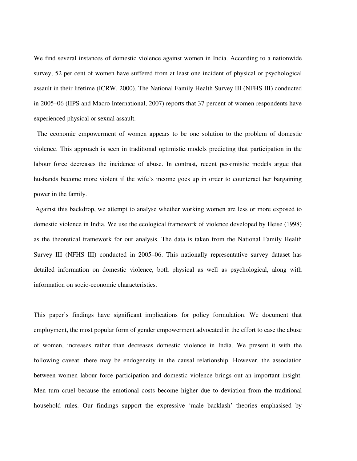We find several instances of domestic violence against women in India. According to a nationwide survey, 52 per cent of women have suffered from at least one incident of physical or psychological assault in their lifetime (ICRW, 2000). The National Family Health Survey III (NFHS III) conducted in 2005–06 (IIPS and Macro International, 2007) reports that 37 percent of women respondents have experienced physical or sexual assault.

 The economic empowerment of women appears to be one solution to the problem of domestic violence. This approach is seen in traditional optimistic models predicting that participation in the labour force decreases the incidence of abuse. In contrast, recent pessimistic models argue that husbands become more violent if the wife's income goes up in order to counteract her bargaining power in the family.

 Against this backdrop, we attempt to analyse whether working women are less or more exposed to domestic violence in India. We use the ecological framework of violence developed by Heise (1998) as the theoretical framework for our analysis. The data is taken from the National Family Health Survey III (NFHS III) conducted in 2005–06. This nationally representative survey dataset has detailed information on domestic violence, both physical as well as psychological, along with information on socio-economic characteristics.

This paper's findings have significant implications for policy formulation. We document that employment, the most popular form of gender empowerment advocated in the effort to ease the abuse of women, increases rather than decreases domestic violence in India. We present it with the following caveat: there may be endogeneity in the causal relationship. However, the association between women labour force participation and domestic violence brings out an important insight. Men turn cruel because the emotional costs become higher due to deviation from the traditional household rules. Our findings support the expressive 'male backlash' theories emphasised by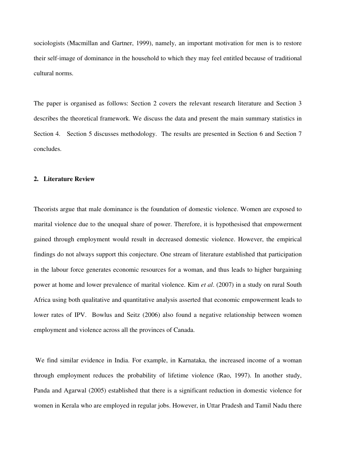sociologists (Macmillan and Gartner, 1999), namely, an important motivation for men is to restore their self-image of dominance in the household to which they may feel entitled because of traditional cultural norms.

The paper is organised as follows: Section 2 covers the relevant research literature and Section 3 describes the theoretical framework. We discuss the data and present the main summary statistics in Section 4. Section 5 discusses methodology. The results are presented in Section 6 and Section 7 concludes.

#### **2. Literature Review**

Theorists argue that male dominance is the foundation of domestic violence. Women are exposed to marital violence due to the unequal share of power. Therefore, it is hypothesised that empowerment gained through employment would result in decreased domestic violence. However, the empirical findings do not always support this conjecture. One stream of literature established that participation in the labour force generates economic resources for a woman, and thus leads to higher bargaining power at home and lower prevalence of marital violence. Kim *et al*. (2007) in a study on rural South Africa using both qualitative and quantitative analysis asserted that economic empowerment leads to lower rates of IPV. Bowlus and Seitz (2006) also found a negative relationship between women employment and violence across all the provinces of Canada.

 We find similar evidence in India. For example, in Karnataka, the increased income of a woman through employment reduces the probability of lifetime violence (Rao, 1997). In another study, Panda and Agarwal (2005) established that there is a significant reduction in domestic violence for women in Kerala who are employed in regular jobs. However, in Uttar Pradesh and Tamil Nadu there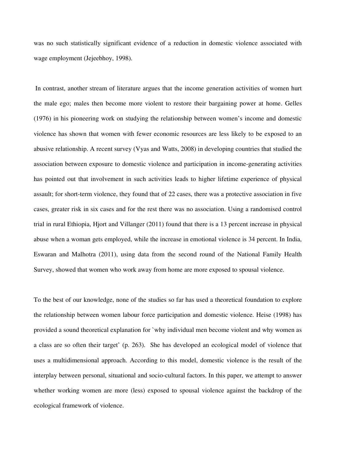was no such statistically significant evidence of a reduction in domestic violence associated with wage employment (Jejeebhoy, 1998).

 In contrast, another stream of literature argues that the income generation activities of women hurt the male ego; males then become more violent to restore their bargaining power at home. Gelles (1976) in his pioneering work on studying the relationship between women's income and domestic violence has shown that women with fewer economic resources are less likely to be exposed to an abusive relationship. A recent survey (Vyas and Watts, 2008) in developing countries that studied the association between exposure to domestic violence and participation in income-generating activities has pointed out that involvement in such activities leads to higher lifetime experience of physical assault; for short-term violence, they found that of 22 cases, there was a protective association in five cases, greater risk in six cases and for the rest there was no association. Using a randomised control trial in rural Ethiopia, Hjort and Villanger (2011) found that there is a 13 percent increase in physical abuse when a woman gets employed, while the increase in emotional violence is 34 percent. In India, Eswaran and Malhotra (2011), using data from the second round of the National Family Health Survey, showed that women who work away from home are more exposed to spousal violence.

To the best of our knowledge, none of the studies so far has used a theoretical foundation to explore the relationship between women labour force participation and domestic violence. Heise (1998) has provided a sound theoretical explanation for `why individual men become violent and why women as a class are so often their target' (p. 263). She has developed an ecological model of violence that uses a multidimensional approach. According to this model, domestic violence is the result of the interplay between personal, situational and socio-cultural factors. In this paper, we attempt to answer whether working women are more (less) exposed to spousal violence against the backdrop of the ecological framework of violence.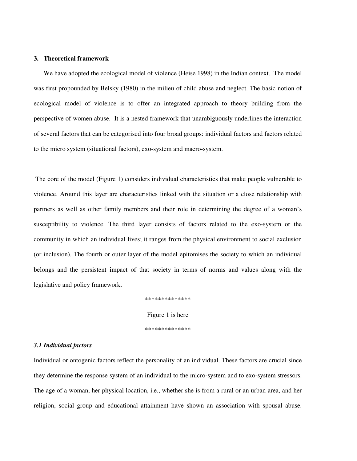#### **3. Theoretical framework**

 We have adopted the ecological model of violence (Heise 1998) in the Indian context. The model was first propounded by Belsky (1980) in the milieu of child abuse and neglect. The basic notion of ecological model of violence is to offer an integrated approach to theory building from the perspective of women abuse. It is a nested framework that unambiguously underlines the interaction of several factors that can be categorised into four broad groups: individual factors and factors related to the micro system (situational factors), exo-system and macro-system.

 The core of the model (Figure 1) considers individual characteristics that make people vulnerable to violence. Around this layer are characteristics linked with the situation or a close relationship with partners as well as other family members and their role in determining the degree of a woman's susceptibility to violence. The third layer consists of factors related to the exo-system or the community in which an individual lives; it ranges from the physical environment to social exclusion (or inclusion). The fourth or outer layer of the model epitomises the society to which an individual belongs and the persistent impact of that society in terms of norms and values along with the legislative and policy framework.

> \*\*\*\*\*\*\*\*\*\*\*\*\*\* Figure 1 is here \*\*\*\*\*\*\*\*\*\*\*\*\*\*

#### *3.1 Individual factors*

Individual or ontogenic factors reflect the personality of an individual. These factors are crucial since they determine the response system of an individual to the micro-system and to exo-system stressors. The age of a woman, her physical location, i.e., whether she is from a rural or an urban area, and her religion, social group and educational attainment have shown an association with spousal abuse.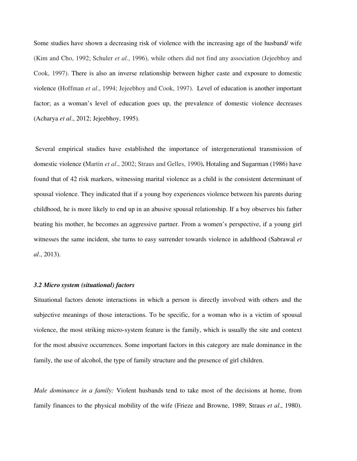Some studies have shown a decreasing risk of violence with the increasing age of the husband/ wife (Kim and Cho, 1992; Schuler *et al*., 1996), while others did not find any association (Jejeebhoy and Cook, 1997). There is also an inverse relationship between higher caste and exposure to domestic violence (Hoffman *et al*., 1994; Jejeebhoy and Cook, 1997). Level of education is another important factor; as a woman's level of education goes up, the prevalence of domestic violence decreases (Acharya *et al*., 2012; Jejeebhoy, 1995).

 Several empirical studies have established the importance of intergenerational transmission of domestic violence **(**Martin *et al*., 2002; Straus and Gelles, 1990**).** Hotaling and Sugarman (1986) have found that of 42 risk markers, witnessing marital violence as a child is the consistent determinant of spousal violence. They indicated that if a young boy experiences violence between his parents during childhood, he is more likely to end up in an abusive spousal relationship. If a boy observes his father beating his mother, he becomes an aggressive partner. From a women's perspective, if a young girl witnesses the same incident, she turns to easy surrender towards violence in adulthood (Sabrawal *et al*., 2013).

#### *3.2 Micro system (situational) factors*

Situational factors denote interactions in which a person is directly involved with others and the subjective meanings of those interactions. To be specific, for a woman who is a victim of spousal violence, the most striking micro-system feature is the family, which is usually the site and context for the most abusive occurrences. Some important factors in this category are male dominance in the family, the use of alcohol, the type of family structure and the presence of girl children.

*Male dominance in a family:* Violent husbands tend to take most of the decisions at home, from family finances to the physical mobility of the wife (Frieze and Browne, 1989; Straus *et al*., 1980).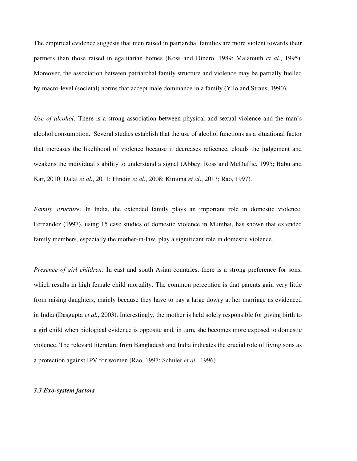The empirical evidence suggests that men raised in patriarchal families are more violent towards their partners than those raised in egalitarian homes (Koss and Dinero, 1989; Malamuth *et al*., 1995). Moreover, the association between patriarchal family structure and violence may be partially fuelled by macro-level (societal) norms that accept male dominance in a family (Yllo and Straus, 1990).

*Use of alcohol:* There is a strong association between physical and sexual violence and the man's alcohol consumption. Several studies establish that the use of alcohol functions as a situational factor that increases the likelihood of violence because it decreases reticence, clouds the judgement and weakens the individual's ability to understand a signal (Abbey, Ross and McDuffie, 1995; Babu and Kar, 2010; Dalal *et al*., 2011; Hindin *et al*., 2008; Kimuna *et al*., 2013; Rao, 1997).

*Family structure:* In India, the extended family plays an important role in domestic violence. Fernandez (1997), using 15 case studies of domestic violence in Mumbai, has shown that extended family members, especially the mother-in-law, play a significant role in domestic violence.

*Presence of girl children:* In east and south Asian countries, there is a strong preference for sons, which results in high female child mortality. The common perception is that parents gain very little from raising daughters, mainly because they have to pay a large dowry at her marriage as evidenced in India (Dasgupta *et al.*, 2003). Interestingly, the mother is held solely responsible for giving birth to a girl child when biological evidence is opposite and, in turn, she becomes more exposed to domestic violence. The relevant literature from Bangladesh and India indicates the crucial role of living sons as a protection against IPV for women (Rao, 1997; Schuler *et al*., 1996).

#### *3.3 Exo-system factors*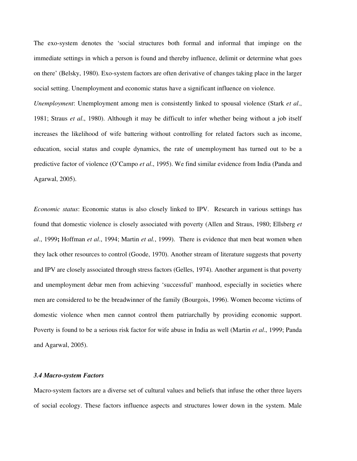The exo-system denotes the 'social structures both formal and informal that impinge on the immediate settings in which a person is found and thereby influence, delimit or determine what goes on there' (Belsky, 1980). Exo-system factors are often derivative of changes taking place in the larger social setting. Unemployment and economic status have a significant influence on violence.

*Unemployment*: Unemployment among men is consistently linked to spousal violence (Stark *et al*., 1981; Straus *et al*., 1980). Although it may be difficult to infer whether being without a job itself increases the likelihood of wife battering without controlling for related factors such as income, education, social status and couple dynamics, the rate of unemployment has turned out to be a predictive factor of violence (O'Campo *et al*., 1995). We find similar evidence from India (Panda and Agarwal, 2005).

*Economic status*: Economic status is also closely linked to IPV. Research in various settings has found that domestic violence is closely associated with poverty (Allen and Straus, 1980; Ellsberg *et al*., 1999**;** Hoffman *et al*., 1994; Martin *et al.*, 1999). There is evidence that men beat women when they lack other resources to control (Goode, 1970). Another stream of literature suggests that poverty and IPV are closely associated through stress factors (Gelles, 1974). Another argument is that poverty and unemployment debar men from achieving 'successful' manhood, especially in societies where men are considered to be the breadwinner of the family (Bourgois, 1996). Women become victims of domestic violence when men cannot control them patriarchally by providing economic support. Poverty is found to be a serious risk factor for wife abuse in India as well (Martin *et al*., 1999; Panda and Agarwal, 2005).

#### *3.4 Macro-system Factors*

Macro-system factors are a diverse set of cultural values and beliefs that infuse the other three layers of social ecology. These factors influence aspects and structures lower down in the system. Male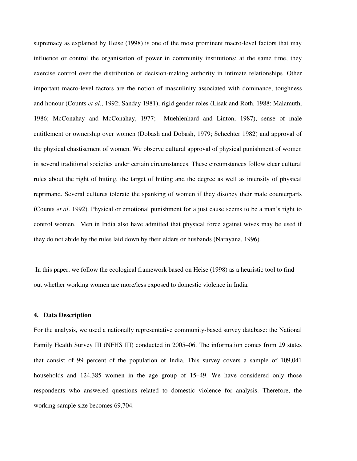supremacy as explained by Heise (1998) is one of the most prominent macro-level factors that may influence or control the organisation of power in community institutions; at the same time, they exercise control over the distribution of decision-making authority in intimate relationships. Other important macro-level factors are the notion of masculinity associated with dominance, toughness and honour (Counts *et al*., 1992; Sanday 1981), rigid gender roles (Lisak and Roth, 1988; Malamuth, 1986; McConahay and McConahay, 1977; Muehlenhard and Linton, 1987), sense of male entitlement or ownership over women (Dobash and Dobash, 1979; Schechter 1982) and approval of the physical chastisement of women. We observe cultural approval of physical punishment of women in several traditional societies under certain circumstances. These circumstances follow clear cultural rules about the right of hitting, the target of hitting and the degree as well as intensity of physical reprimand. Several cultures tolerate the spanking of women if they disobey their male counterparts **(**Counts *et al*. 1992). Physical or emotional punishment for a just cause seems to be a man's right to control women. Men in India also have admitted that physical force against wives may be used if they do not abide by the rules laid down by their elders or husbands (Narayana, 1996).

 In this paper, we follow the ecological framework based on Heise (1998) as a heuristic tool to find out whether working women are more/less exposed to domestic violence in India.

#### **4. Data Description**

For the analysis, we used a nationally representative community-based survey database: the National Family Health Survey III (NFHS III) conducted in 2005–06. The information comes from 29 states that consist of 99 percent of the population of India. This survey covers a sample of 109,041 households and 124,385 women in the age group of 15–49. We have considered only those respondents who answered questions related to domestic violence for analysis. Therefore, the working sample size becomes 69,704.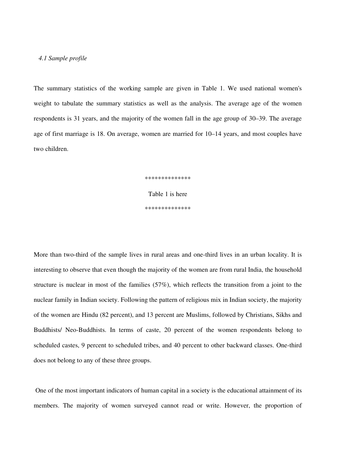#### *4.1 Sample profile*

The summary statistics of the working sample are given in Table 1. We used national women's weight to tabulate the summary statistics as well as the analysis. The average age of the women respondents is 31 years, and the majority of the women fall in the age group of 30–39. The average age of first marriage is 18. On average, women are married for 10–14 years, and most couples have two children.

> \*\*\*\*\*\*\*\*\*\*\*\*\*\* Table 1 is here \*\*\*\*\*\*\*\*\*\*\*\*\*\*

More than two-third of the sample lives in rural areas and one-third lives in an urban locality. It is interesting to observe that even though the majority of the women are from rural India, the household structure is nuclear in most of the families (57%), which reflects the transition from a joint to the nuclear family in Indian society. Following the pattern of religious mix in Indian society, the majority of the women are Hindu (82 percent), and 13 percent are Muslims, followed by Christians, Sikhs and Buddhists/ Neo-Buddhists. In terms of caste, 20 percent of the women respondents belong to scheduled castes, 9 percent to scheduled tribes, and 40 percent to other backward classes. One-third does not belong to any of these three groups.

 One of the most important indicators of human capital in a society is the educational attainment of its members. The majority of women surveyed cannot read or write. However, the proportion of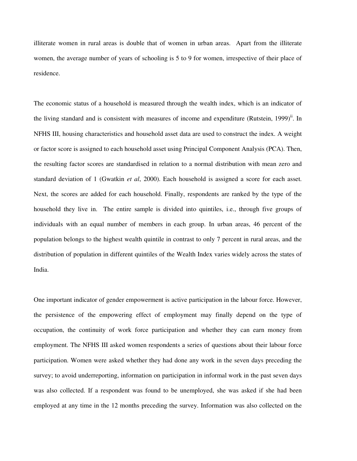illiterate women in rural areas is double that of women in urban areas. Apart from the illiterate women, the average number of years of schooling is 5 to 9 for women, irrespective of their place of residence.

The economic status of a household is measured through the wealth index, which is an indicator of the living standard and is consistent with measures of income and expenditure (Rutstein, 1999)<sup>ii</sup>. In NFHS III, housing characteristics and household asset data are used to construct the index. A weight or factor score is assigned to each household asset using Principal Component Analysis (PCA). Then, the resulting factor scores are standardised in relation to a normal distribution with mean zero and standard deviation of 1 (Gwatkin *et al*, 2000). Each household is assigned a score for each asset. Next, the scores are added for each household. Finally, respondents are ranked by the type of the household they live in. The entire sample is divided into quintiles, i.e., through five groups of individuals with an equal number of members in each group. In urban areas, 46 percent of the population belongs to the highest wealth quintile in contrast to only 7 percent in rural areas, and the distribution of population in different quintiles of the Wealth Index varies widely across the states of India.

One important indicator of gender empowerment is active participation in the labour force. However, the persistence of the empowering effect of employment may finally depend on the type of occupation, the continuity of work force participation and whether they can earn money from employment. The NFHS III asked women respondents a series of questions about their labour force participation. Women were asked whether they had done any work in the seven days preceding the survey; to avoid underreporting, information on participation in informal work in the past seven days was also collected. If a respondent was found to be unemployed, she was asked if she had been employed at any time in the 12 months preceding the survey. Information was also collected on the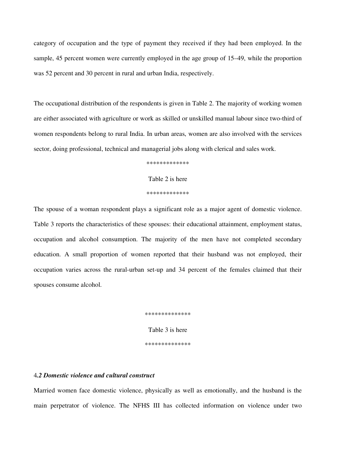category of occupation and the type of payment they received if they had been employed. In the sample, 45 percent women were currently employed in the age group of 15–49, while the proportion was 52 percent and 30 percent in rural and urban India, respectively.

The occupational distribution of the respondents is given in Table 2. The majority of working women are either associated with agriculture or work as skilled or unskilled manual labour since two-third of women respondents belong to rural India. In urban areas, women are also involved with the services sector, doing professional, technical and managerial jobs along with clerical and sales work.

\*\*\*\*\*\*\*\*\*\*\*\*\*

Table 2 is here

\*\*\*\*\*\*\*\*\*\*\*\*\*

The spouse of a woman respondent plays a significant role as a major agent of domestic violence. Table 3 reports the characteristics of these spouses: their educational attainment, employment status, occupation and alcohol consumption. The majority of the men have not completed secondary education. A small proportion of women reported that their husband was not employed, their occupation varies across the rural-urban set-up and 34 percent of the females claimed that their spouses consume alcohol.

> \*\*\*\*\*\*\*\*\*\*\*\*\*\* Table 3 is here \*\*\*\*\*\*\*\*\*\*\*\*\*\*

### 4*.2 Domestic violence and cultural construct*

Married women face domestic violence, physically as well as emotionally, and the husband is the main perpetrator of violence. The NFHS III has collected information on violence under two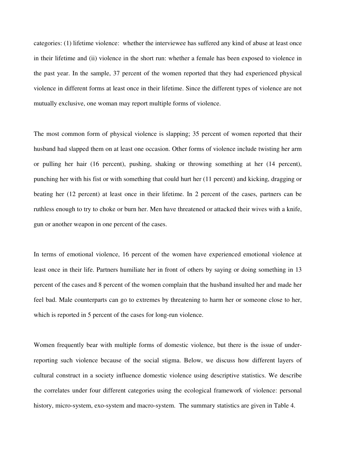categories: (1) lifetime violence: whether the interviewee has suffered any kind of abuse at least once in their lifetime and (ii) violence in the short run: whether a female has been exposed to violence in the past year. In the sample, 37 percent of the women reported that they had experienced physical violence in different forms at least once in their lifetime. Since the different types of violence are not mutually exclusive, one woman may report multiple forms of violence.

The most common form of physical violence is slapping; 35 percent of women reported that their husband had slapped them on at least one occasion. Other forms of violence include twisting her arm or pulling her hair (16 percent), pushing, shaking or throwing something at her (14 percent), punching her with his fist or with something that could hurt her (11 percent) and kicking, dragging or beating her (12 percent) at least once in their lifetime. In 2 percent of the cases, partners can be ruthless enough to try to choke or burn her. Men have threatened or attacked their wives with a knife, gun or another weapon in one percent of the cases.

In terms of emotional violence, 16 percent of the women have experienced emotional violence at least once in their life. Partners humiliate her in front of others by saying or doing something in 13 percent of the cases and 8 percent of the women complain that the husband insulted her and made her feel bad. Male counterparts can go to extremes by threatening to harm her or someone close to her, which is reported in 5 percent of the cases for long-run violence.

Women frequently bear with multiple forms of domestic violence, but there is the issue of underreporting such violence because of the social stigma. Below, we discuss how different layers of cultural construct in a society influence domestic violence using descriptive statistics. We describe the correlates under four different categories using the ecological framework of violence: personal history, micro-system, exo-system and macro-system. The summary statistics are given in Table 4.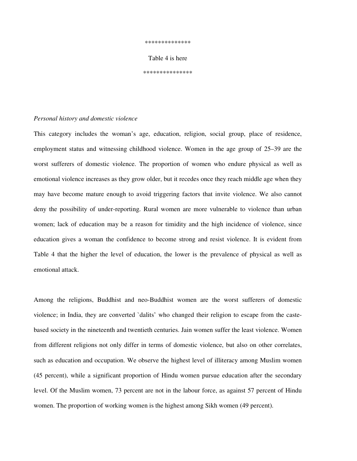#### \*\*\*\*\*\*\*\*\*\*\*\*\*\*

Table 4 is here

\*\*\*\*\*\*\*\*\*\*\*\*\*\*\*

#### *Personal history and domestic violence*

This category includes the woman's age, education, religion, social group, place of residence, employment status and witnessing childhood violence. Women in the age group of 25–39 are the worst sufferers of domestic violence. The proportion of women who endure physical as well as emotional violence increases as they grow older, but it recedes once they reach middle age when they may have become mature enough to avoid triggering factors that invite violence. We also cannot deny the possibility of under-reporting. Rural women are more vulnerable to violence than urban women; lack of education may be a reason for timidity and the high incidence of violence, since education gives a woman the confidence to become strong and resist violence. It is evident from Table 4 that the higher the level of education, the lower is the prevalence of physical as well as emotional attack.

Among the religions, Buddhist and neo-Buddhist women are the worst sufferers of domestic violence; in India, they are converted `dalits' who changed their religion to escape from the castebased society in the nineteenth and twentieth centuries. Jain women suffer the least violence. Women from different religions not only differ in terms of domestic violence, but also on other correlates, such as education and occupation. We observe the highest level of illiteracy among Muslim women (45 percent), while a significant proportion of Hindu women pursue education after the secondary level. Of the Muslim women, 73 percent are not in the labour force, as against 57 percent of Hindu women. The proportion of working women is the highest among Sikh women (49 percent).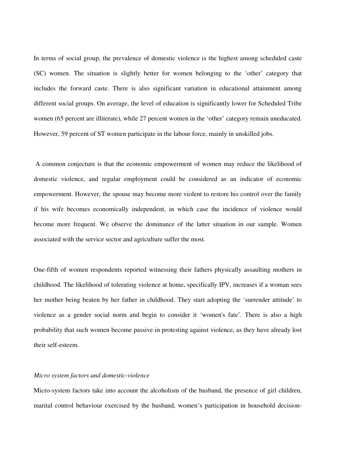In terms of social group, the prevalence of domestic violence is the highest among scheduled caste (SC) women. The situation is slightly better for women belonging to the 'other' category that includes the forward caste. There is also significant variation in educational attainment among different social groups. On average, the level of education is significantly lower for Scheduled Tribe women (65 percent are illiterate), while 27 percent women in the 'other' category remain uneducated. However, 59 percent of ST women participate in the labour force, mainly in unskilled jobs.

 A common conjecture is that the economic empowerment of women may reduce the likelihood of domestic violence, and regular employment could be considered as an indicator of economic empowerment. However, the spouse may become more violent to restore his control over the family if his wife becomes economically independent, in which case the incidence of violence would become more frequent. We observe the dominance of the latter situation in our sample. Women associated with the service sector and agriculture suffer the most.

One-fifth of women respondents reported witnessing their fathers physically assaulting mothers in childhood. The likelihood of tolerating violence at home, specifically IPV, increases if a woman sees her mother being beaten by her father in childhood. They start adopting the 'surrender attitude' to violence as a gender social norm and begin to consider it 'women's fate'. There is also a high probability that such women become passive in protesting against violence, as they have already lost their self-esteem.

#### *Micro system factors and domestic-violence*

Micro-system factors take into account the alcoholism of the husband, the presence of girl children, marital control behaviour exercised by the husband, women's participation in household decision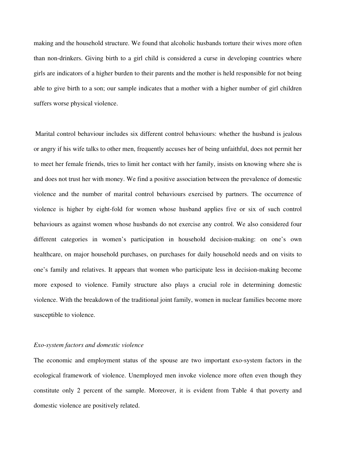making and the household structure. We found that alcoholic husbands torture their wives more often than non-drinkers. Giving birth to a girl child is considered a curse in developing countries where girls are indicators of a higher burden to their parents and the mother is held responsible for not being able to give birth to a son; our sample indicates that a mother with a higher number of girl children suffers worse physical violence.

 Marital control behaviour includes six different control behaviours: whether the husband is jealous or angry if his wife talks to other men, frequently accuses her of being unfaithful, does not permit her to meet her female friends, tries to limit her contact with her family, insists on knowing where she is and does not trust her with money. We find a positive association between the prevalence of domestic violence and the number of marital control behaviours exercised by partners. The occurrence of violence is higher by eight-fold for women whose husband applies five or six of such control behaviours as against women whose husbands do not exercise any control. We also considered four different categories in women's participation in household decision-making: on one's own healthcare, on major household purchases, on purchases for daily household needs and on visits to one's family and relatives. It appears that women who participate less in decision-making become more exposed to violence. Family structure also plays a crucial role in determining domestic violence. With the breakdown of the traditional joint family, women in nuclear families become more susceptible to violence.

#### *Exo-system factors and domestic violence*

The economic and employment status of the spouse are two important exo-system factors in the ecological framework of violence. Unemployed men invoke violence more often even though they constitute only 2 percent of the sample. Moreover, it is evident from Table 4 that poverty and domestic violence are positively related.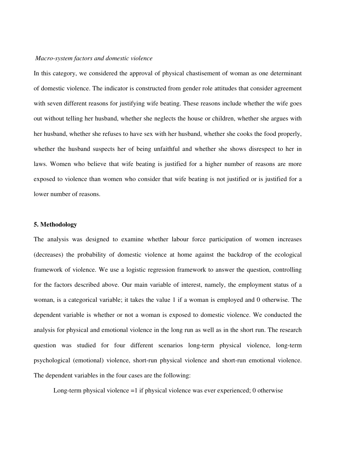#### *Macro-system factors and domestic violence*

In this category, we considered the approval of physical chastisement of woman as one determinant of domestic violence. The indicator is constructed from gender role attitudes that consider agreement with seven different reasons for justifying wife beating. These reasons include whether the wife goes out without telling her husband, whether she neglects the house or children, whether she argues with her husband, whether she refuses to have sex with her husband, whether she cooks the food properly, whether the husband suspects her of being unfaithful and whether she shows disrespect to her in laws. Women who believe that wife beating is justified for a higher number of reasons are more exposed to violence than women who consider that wife beating is not justified or is justified for a lower number of reasons.

#### **5. Methodology**

The analysis was designed to examine whether labour force participation of women increases (decreases) the probability of domestic violence at home against the backdrop of the ecological framework of violence. We use a logistic regression framework to answer the question, controlling for the factors described above. Our main variable of interest, namely, the employment status of a woman, is a categorical variable; it takes the value 1 if a woman is employed and 0 otherwise. The dependent variable is whether or not a woman is exposed to domestic violence. We conducted the analysis for physical and emotional violence in the long run as well as in the short run. The research question was studied for four different scenarios long-term physical violence, long-term psychological (emotional) violence, short-run physical violence and short-run emotional violence. The dependent variables in the four cases are the following:

Long-term physical violence =1 if physical violence was ever experienced; 0 otherwise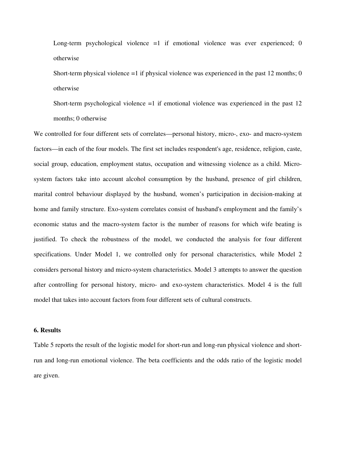Long-term psychological violence =1 if emotional violence was ever experienced; 0 otherwise

Short-term physical violence  $=1$  if physical violence was experienced in the past 12 months; 0 otherwise

Short-term psychological violence =1 if emotional violence was experienced in the past 12 months; 0 otherwise

We controlled for four different sets of correlates—personal history, micro-, exo- and macro-system factors—in each of the four models. The first set includes respondent's age, residence, religion, caste, social group, education, employment status, occupation and witnessing violence as a child. Microsystem factors take into account alcohol consumption by the husband, presence of girl children, marital control behaviour displayed by the husband, women's participation in decision-making at home and family structure. Exo-system correlates consist of husband's employment and the family's economic status and the macro-system factor is the number of reasons for which wife beating is justified. To check the robustness of the model, we conducted the analysis for four different specifications. Under Model 1, we controlled only for personal characteristics, while Model 2 considers personal history and micro-system characteristics. Model 3 attempts to answer the question after controlling for personal history, micro- and exo-system characteristics. Model 4 is the full model that takes into account factors from four different sets of cultural constructs.

#### **6. Results**

Table 5 reports the result of the logistic model for short-run and long-run physical violence and shortrun and long-run emotional violence. The beta coefficients and the odds ratio of the logistic model are given.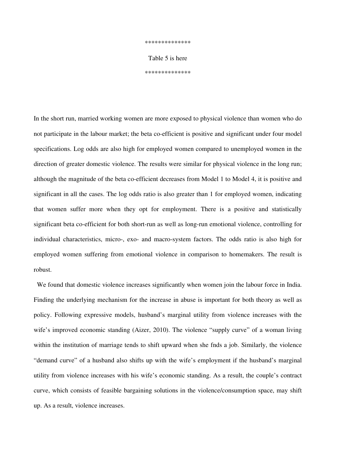\*\*\*\*\*\*\*\*\*\*\*\*\*\*

Table 5 is here

\*\*\*\*\*\*\*\*\*\*\*\*\*\*

In the short run, married working women are more exposed to physical violence than women who do not participate in the labour market; the beta co-efficient is positive and significant under four model specifications. Log odds are also high for employed women compared to unemployed women in the direction of greater domestic violence. The results were similar for physical violence in the long run; although the magnitude of the beta co-efficient decreases from Model 1 to Model 4, it is positive and significant in all the cases. The log odds ratio is also greater than 1 for employed women, indicating that women suffer more when they opt for employment. There is a positive and statistically significant beta co-efficient for both short-run as well as long-run emotional violence, controlling for individual characteristics, micro-, exo- and macro-system factors. The odds ratio is also high for employed women suffering from emotional violence in comparison to homemakers. The result is robust.

 We found that domestic violence increases significantly when women join the labour force in India. Finding the underlying mechanism for the increase in abuse is important for both theory as well as policy. Following expressive models, husband's marginal utility from violence increases with the wife's improved economic standing (Aizer, 2010). The violence "supply curve" of a woman living within the institution of marriage tends to shift upward when she fnds a job. Similarly, the violence "demand curve" of a husband also shifts up with the wife's employment if the husband's marginal utility from violence increases with his wife's economic standing. As a result, the couple's contract curve, which consists of feasible bargaining solutions in the violence/consumption space, may shift up. As a result, violence increases.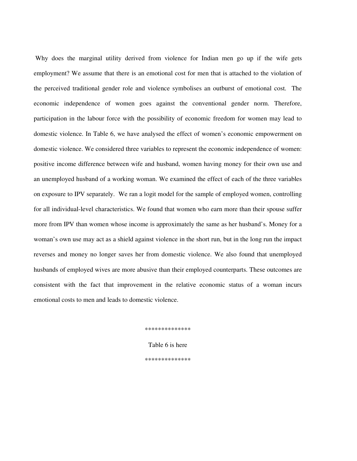Why does the marginal utility derived from violence for Indian men go up if the wife gets employment? We assume that there is an emotional cost for men that is attached to the violation of the perceived traditional gender role and violence symbolises an outburst of emotional cost. The economic independence of women goes against the conventional gender norm. Therefore, participation in the labour force with the possibility of economic freedom for women may lead to domestic violence. In Table 6, we have analysed the effect of women's economic empowerment on domestic violence. We considered three variables to represent the economic independence of women: positive income difference between wife and husband, women having money for their own use and an unemployed husband of a working woman. We examined the effect of each of the three variables on exposure to IPV separately. We ran a logit model for the sample of employed women, controlling for all individual-level characteristics. We found that women who earn more than their spouse suffer more from IPV than women whose income is approximately the same as her husband's. Money for a woman's own use may act as a shield against violence in the short run, but in the long run the impact reverses and money no longer saves her from domestic violence. We also found that unemployed husbands of employed wives are more abusive than their employed counterparts. These outcomes are consistent with the fact that improvement in the relative economic status of a woman incurs emotional costs to men and leads to domestic violence.

\*\*\*\*\*\*\*\*\*\*\*\*\*\*

Table 6 is here \*\*\*\*\*\*\*\*\*\*\*\*\*\*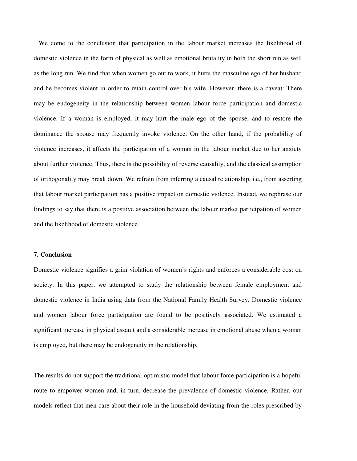We come to the conclusion that participation in the labour market increases the likelihood of domestic violence in the form of physical as well as emotional brutality in both the short run as well as the long run. We find that when women go out to work, it hurts the masculine ego of her husband and he becomes violent in order to retain control over his wife. However, there is a caveat: There may be endogeneity in the relationship between women labour force participation and domestic violence. If a woman is employed, it may hurt the male ego of the spouse, and to restore the dominance the spouse may frequently invoke violence. On the other hand, if the probability of violence increases, it affects the participation of a woman in the labour market due to her anxiety about further violence. Thus, there is the possibility of reverse causality, and the classical assumption of orthogonality may break down. We refrain from inferring a causal relationship, i.e., from asserting that labour market participation has a positive impact on domestic violence. Instead, we rephrase our findings to say that there is a positive association between the labour market participation of women and the likelihood of domestic violence.

#### **7. Conclusion**

Domestic violence signifies a grim violation of women's rights and enforces a considerable cost on society. In this paper, we attempted to study the relationship between female employment and domestic violence in India using data from the National Family Health Survey. Domestic violence and women labour force participation are found to be positively associated. We estimated a significant increase in physical assault and a considerable increase in emotional abuse when a woman is employed, but there may be endogeneity in the relationship.

The results do not support the traditional optimistic model that labour force participation is a hopeful route to empower women and, in turn, decrease the prevalence of domestic violence. Rather, our models reflect that men care about their role in the household deviating from the roles prescribed by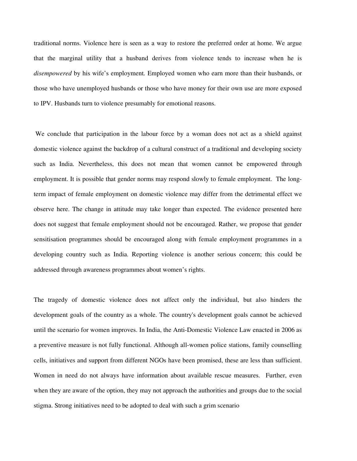traditional norms. Violence here is seen as a way to restore the preferred order at home. We argue that the marginal utility that a husband derives from violence tends to increase when he is *disempowered* by his wife's employment*.* Employed women who earn more than their husbands, or those who have unemployed husbands or those who have money for their own use are more exposed to IPV. Husbands turn to violence presumably for emotional reasons.

 We conclude that participation in the labour force by a woman does not act as a shield against domestic violence against the backdrop of a cultural construct of a traditional and developing society such as India. Nevertheless, this does not mean that women cannot be empowered through employment. It is possible that gender norms may respond slowly to female employment. The longterm impact of female employment on domestic violence may differ from the detrimental effect we observe here. The change in attitude may take longer than expected. The evidence presented here does not suggest that female employment should not be encouraged. Rather, we propose that gender sensitisation programmes should be encouraged along with female employment programmes in a developing country such as India. Reporting violence is another serious concern; this could be addressed through awareness programmes about women's rights.

The tragedy of domestic violence does not affect only the individual, but also hinders the development goals of the country as a whole. The country's development goals cannot be achieved until the scenario for women improves. In India, the Anti-Domestic Violence Law enacted in 2006 as a preventive measure is not fully functional. Although all-women police stations, family counselling cells, initiatives and support from different NGOs have been promised, these are less than sufficient. Women in need do not always have information about available rescue measures. Further, even when they are aware of the option, they may not approach the authorities and groups due to the social stigma. Strong initiatives need to be adopted to deal with such a grim scenario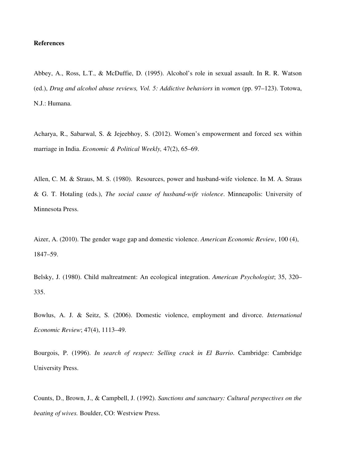#### **References**

Abbey, A., Ross, L.T., & McDuffie, D. (1995). Alcohol's role in sexual assault. In R. R. Watson (ed.), *Drug and alcohol abuse reviews, Vol. 5: Addictive behaviors* in *women* (pp. 97–123). Totowa, N.J.: Humana.

Acharya, R., Sabarwal, S. & Jejeebhoy, S. (2012). Women's empowerment and forced sex within marriage in India. *Economic & Political Weekly,* 47(2), 65–69.

Allen, C. M. & Straus, M. S. (1980). Resources, power and husband-wife violence. In M. A. Straus & G. T. Hotaling (eds.), *The social cause of husband-wife violence*. Minneapolis: University of Minnesota Press.

Aizer, A. (2010). The gender wage gap and domestic violence. *American Economic Review*, 100 (4), 1847–59.

Belsky, J. (1980). Child maltreatment: An ecological integration. *American Psychologist*; 35, 320– 335.

Bowlus, A. J. & Seitz, S. (2006). Domestic violence, employment and divorce. *International Economic Review*; 47(4), 1113–49.

Bourgois, P. (1996). *In search of respect: Selling crack in El Barrio*. Cambridge: Cambridge University Press.

Counts, D., Brown, J., & Campbell, J. (1992). *Sanctions and sanctuary: Cultural perspectives on the beating of wives.* Boulder, CO: Westview Press.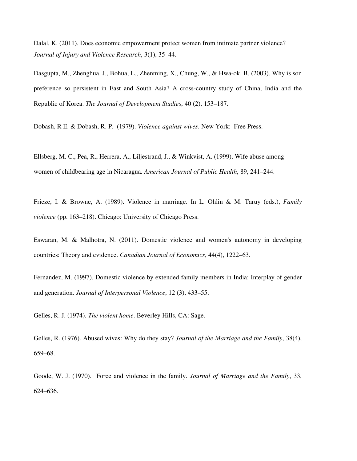Dalal, K. (2011). Does economic empowerment protect women from intimate partner violence? *Journal of Injury and Violence Research*, 3(1), 35–44.

Dasgupta, M., Zhenghua, J., Bohua, L., Zhenming, X., Chung, W., & Hwa-ok, B. (2003). Why is son preference so persistent in East and South Asia? A cross-country study of China, India and the Republic of Korea. *The Journal of Development Studies*, 40 (2), 153–187.

Dobash, R E. & Dobash, R. P. (1979). *Violence against wives*. New York: Free Press.

Ellsberg, M. C., Pea, R., Herrera, A., Liljestrand, J., & Winkvist, A. (1999). Wife abuse among women of childbearing age in Nicaragua. *American Journal of Public Health*, 89, 241–244.

Frieze, I. & Browne, A. (1989). Violence in marriage. In L. Ohlin & M. Taruy (eds.), *Family violence* (pp. 163–218). Chicago: University of Chicago Press.

Eswaran, M. & Malhotra, N. (2011). Domestic violence and women's autonomy in developing countries: Theory and evidence. *Canadian Journal of Economics*, 44(4), 1222–63.

Fernandez, M. (1997). Domestic violence by extended family members in India: Interplay of gender and generation. *Journal of Interpersonal Violence*, 12 (3), 433–55.

Gelles, R. J. (1974). *The violent home*. Beverley Hills, CA: Sage.

Gelles, R. (1976). Abused wives: Why do they stay? *Journal of the Marriage and the Family*, 38(4), 659–68.

Goode, W. J. (1970). Force and violence in the family. *Journal of Marriage and the Family*, 33, 624–636.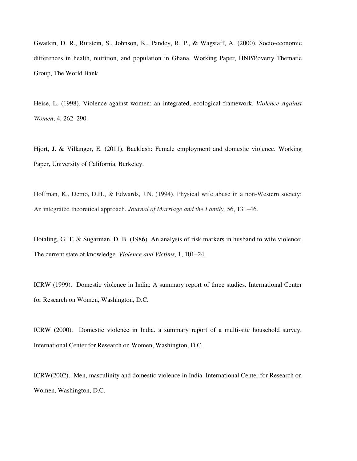Gwatkin, D. R., Rutstein, S., Johnson, K., Pandey, R. P., & Wagstaff, A. (2000). Socio-economic differences in health, nutrition, and population in Ghana. Working Paper, HNP/Poverty Thematic Group, The World Bank.

Heise, L. (1998). Violence against women: an integrated, ecological framework. *Violence Against Women*, 4, 262–290.

Hjort, J. & Villanger, E. (2011). Backlash: Female employment and domestic violence. Working Paper, University of California, Berkeley.

Hoffman, K., Demo, D.H., & Edwards, J.N. (1994). Physical wife abuse in a non-Western society: An integrated theoretical approach. *Journal of Marriage and the Family,* 56, 131–46.

Hotaling, G. T. & Sugarman, D. B. (1986). An analysis of risk markers in husband to wife violence: The current state of knowledge. *Violence and Victims*, 1, 101–24.

ICRW (1999). Domestic violence in India: A summary report of three studies. International Center for Research on Women, Washington, D.C.

ICRW (2000). Domestic violence in India. a summary report of a multi-site household survey. International Center for Research on Women, Washington, D.C.

ICRW(2002). Men, masculinity and domestic violence in India. International Center for Research on Women, Washington, D.C.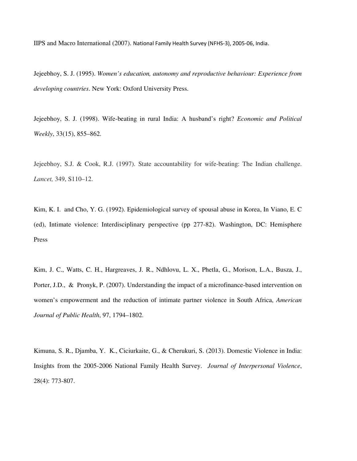IIPS and Macro International (2007). National Family Health Survey (NFHS-3), 2005-06, India.

Jejeebhoy, S. J. (1995). *Women's education, autonomy and reproductive behaviour: Experience from developing countries*. New York: Oxford University Press.

Jejeebhoy, S. J. (1998). Wife-beating in rural India: A husband's right? *Economic and Political Weekly*, 33(15), 855–862.

Jejeebhoy, S.J. & Cook, R.J. (1997). State accountability for wife-beating: The Indian challenge. *Lancet,* 349, S110–12.

Kim, K. I. and Cho, Y. G. (1992). Epidemiological survey of spousal abuse in Korea, In Viano, E. C (ed), Intimate violence: Interdisciplinary perspective (pp 277-82). Washington, DC: Hemisphere Press

Kim, J. C., Watts, C. H., Hargreaves, J. R., Ndhlovu, L. X., Phetla, G., Morison, L.A., Busza, J., Porter, J.D., & Pronyk, P. (2007). Understanding the impact of a microfinance-based intervention on women's empowerment and the reduction of intimate partner violence in South Africa, *American Journal of Public Health*, 97, 1794–1802.

Kimuna, S. R., Djamba, Y. K., Ciciurkaite, G., & Cherukuri, S. (2013). Domestic Violence in India: Insights from the 2005-2006 National Family Health Survey. *Journal of Interpersonal Violence*, 28(4): 773-807.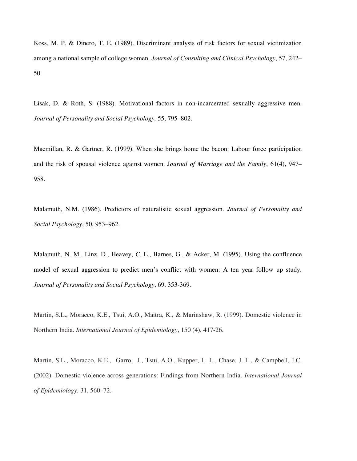Koss, M. P. & Dinero, T. E. (1989). Discriminant analysis of risk factors for sexual victimization among a national sample of college women. *Journal of Consulting and Clinical Psychology*, 57, 242– 50.

Lisak, D. & Roth, S. (1988). Motivational factors in non-incarcerated sexually aggressive men. *Journal of Personality and Social Psychology,* 55, 795–802.

Macmillan, R. & Gartner, R. (1999). When she brings home the bacon: Labour force participation and the risk of spousal violence against women. J*ournal of Marriage and the Family*, 61(4), 947– 958.

Malamuth, N.M. (1986). Predictors of naturalistic sexual aggression. *Journal of Personality and Social Psychology*, 50, 953–962.

Malamuth, N. M., Linz, D., Heavey, *C.* L., Barnes, G., & Acker, M. (1995). Using the confluence model of sexual aggression to predict men's conflict with women: A ten year follow up study. *Journal of Personality and Social Psychology*, 69, 353-369.

Martin, S.L., Moracco, K.E., Tsui, A.O., Maitra, K., & Marinshaw, R. (1999). Domestic violence in Northern India. *International Journal of Epidemiology*, 150 (4), 417-26.

Martin, S.L., Moracco, K.E., Garro, J., Tsui, A.O., Kupper, L. L., Chase, J. L., & Campbell, J.C. (2002). Domestic violence across generations: Findings from Northern India. *International Journal of Epidemiology*, 31, 560–72.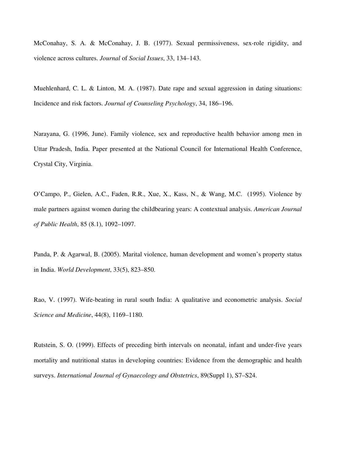McConahay, S. A. & McConahay, J. B. (1977). Sexual permissiveness, sex-role rigidity, and violence across cultures. *Journal* of *Social Issues*, 33, 134–143.

Muehlenhard, C. L. & Linton, M. A. (1987). Date rape and sexual aggression in dating situations: Incidence and risk factors. *Journal of Counseling Psychology*, 34, 186–196.

Narayana, G. (1996, June). Family violence, sex and reproductive health behavior among men in Uttar Pradesh, India. Paper presented at the National Council for International Health Conference, Crystal City, Virginia.

O'Campo, P., Gielen, A.C., Faden, R.R., Xue, X., Kass, N., & Wang, M.C. (1995). Violence by male partners against women during the childbearing years: A contextual analysis. *American Journal of Public Health*, 85 (8.1), 1092–1097.

Panda, P. & Agarwal, B. (2005). Marital violence, human development and women's property status in India. *World Development*, 33(5), 823–850.

Rao, V. (1997). Wife-beating in rural south India: A qualitative and econometric analysis. *Social Science and Medicine*, 44(8), 1169–1180.

Rutstein, S. O. (1999). Effects of preceding birth intervals on neonatal, infant and under-five years mortality and nutritional status in developing countries: Evidence from the demographic and health surveys. *International Journal of Gynaecology and Obstetrics*, 89(Suppl 1), S7–S24.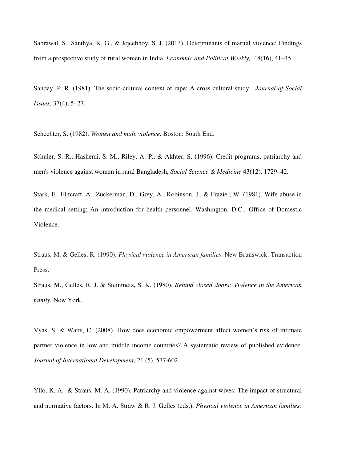Sabrawal, S., Santhya, K. G., & Jejeebhoy, S. J. (2013). Determinants of marital violence: Findings from a prospective study of rural women in India. *Economic and Political Weekly,* 48(16), 41–45.

Sanday, P. R. (1981). The socio-cultural context of rape: A cross cultural study. *Journal of Social Issues*, 37(4), 5–27.

Schechter, S. (1982). *Women and male violence.* Boston: South End.

Schuler, S. R., Hashemi, S. M., Riley, A. P., & Akhter, S. (1996). Credit programs, patriarchy and men's violence against women in rural Bangladesh, *Social Science & Medicine* 43(12), 1729–42.

Stark, E., Flitcraft, A., Zuckerman, D., Grey, A., Robinson, J., & Frazier, W. (1981). Wife abuse in the medical setting: An introduction for health personnel*.* Washington, D.C.*:* Office of Domestic Violence.

Straus, M. & Gelles, R. (1990). *Physical violence in American families*. New Brunswick: Transaction Press.

Straus, M., Gelles, R. J. & Steinmetz, S. K. (1980). *Behind closed doors: Violence in the American family*. New York.

Vyas, S. & Watts, C. (2008). How does economic empowerment affect women's risk of intimate partner violence in low and middle income countries? A systematic review of published evidence. *Journal of International Development,* 21 (5), 577-602.

Yllo, K. A. & Straus, M. A. (1990). Patriarchy and violence against wives: The impact of structural and normative factors. In M. A. Straw & R. J. Gelles (eds.), *Physical violence in American families:*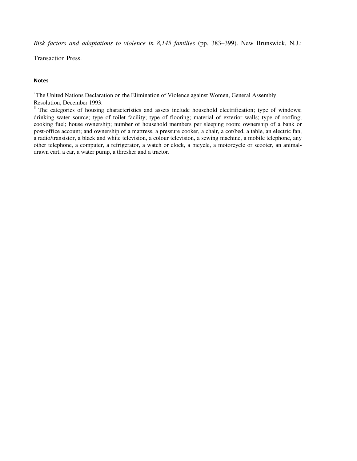*Risk factors and adaptations to violence in 8,145 families* (pp. 383–399). New Brunswick, N.J.:

Transaction Press.

#### **Notes**

l

<sup>i</sup> The United Nations Declaration on the Elimination of Violence against Women, General Assembly Resolution, December 1993.

<sup>ii</sup> The categories of housing characteristics and assets include household electrification; type of windows; drinking water source; type of toilet facility; type of flooring; material of exterior walls; type of roofing; cooking fuel; house ownership; number of household members per sleeping room; ownership of a bank or post-office account; and ownership of a mattress, a pressure cooker, a chair, a cot/bed, a table, an electric fan, a radio/transistor, a black and white television, a colour television, a sewing machine, a mobile telephone, any other telephone, a computer, a refrigerator, a watch or clock, a bicycle, a motorcycle or scooter, an animaldrawn cart, a car, a water pump, a thresher and a tractor.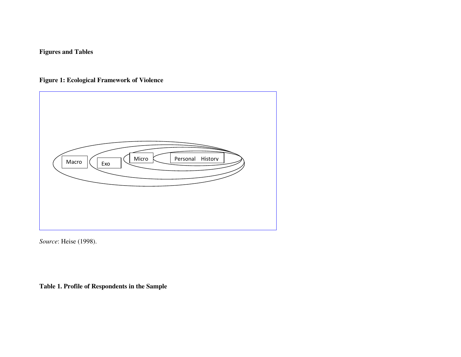## **Figures and Tables**

**Figure 1: Ecological Framework of Violence** 



*Source*: Heise (1998).

**Table 1. Profile of Respondents in the Sample**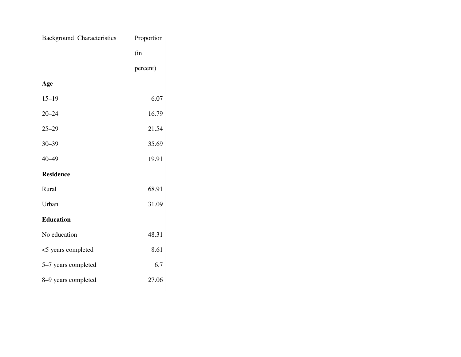| <b>Background Characteristics</b> | Proportion |
|-----------------------------------|------------|
|                                   | (in        |
|                                   | percent)   |
| Age                               |            |
| $15 - 19$                         | 6.07       |
| $20 - 24$                         | 16.79      |
| $25 - 29$                         | 21.54      |
| $30 - 39$                         | 35.69      |
| $40 - 49$                         | 19.91      |
| <b>Residence</b>                  |            |
| Rural                             | 68.91      |
| Urban                             | 31.09      |
| <b>Education</b>                  |            |
| No education                      | 48.31      |
| <5 years completed                | 8.61       |
| 5-7 years completed               | 6.7        |
| 8-9 years completed               | 27.06      |
|                                   |            |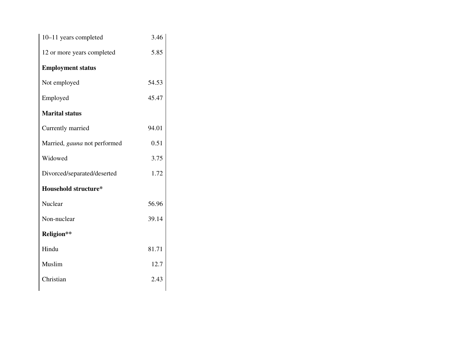| 10-11 years completed        | 3.46  |  |
|------------------------------|-------|--|
| 12 or more years completed   | 5.85  |  |
| <b>Employment status</b>     |       |  |
| Not employed                 | 54.53 |  |
| Employed                     | 45.47 |  |
| <b>Marital status</b>        |       |  |
| Currently married            | 94.01 |  |
| Married, gauna not performed | 0.51  |  |
| Widowed                      | 3.75  |  |
| Divorced/separated/deserted  | 1.72  |  |
| <b>Household structure*</b>  |       |  |
| Nuclear                      | 56.96 |  |
| Non-nuclear                  | 39.14 |  |
| Religion**                   |       |  |
| Hindu                        | 81.71 |  |
| Muslim                       | 12.7  |  |
| Christian                    | 2.43  |  |
|                              |       |  |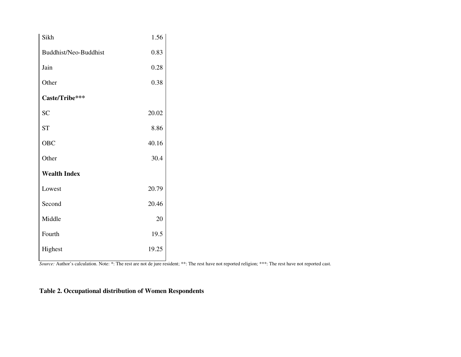| Sikh                  | 1.56  |
|-----------------------|-------|
| Buddhist/Neo-Buddhist | 0.83  |
| Jain                  | 0.28  |
| Other                 | 0.38  |
| Caste/Tribe***        |       |
| SC                    | 20.02 |
| <b>ST</b>             | 8.86  |
| OBC                   | 40.16 |
| Other                 | 30.4  |
| <b>Wealth Index</b>   |       |
| Lowest                | 20.79 |
| Second                | 20.46 |
| Middle                | 20    |
| Fourth                | 19.5  |
| Highest               | 19.25 |

*Source:* Author's calculation. Note: \*: The rest are not de jure resident; \*\*: The rest have not reported religion; \*\*\*: The rest have not reported cast.

## **Table 2. Occupational distribution of Women Respondents**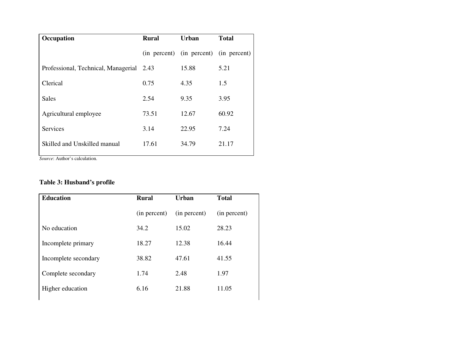| Occupation                               | <b>Rural</b> | <b>Urban</b>                           | <b>Total</b> |
|------------------------------------------|--------------|----------------------------------------|--------------|
|                                          |              | (in percent) (in percent) (in percent) |              |
| Professional, Technical, Managerial 2.43 |              | 15.88                                  | 5.21         |
| Clerical                                 | 0.75         | 4.35                                   | 1.5          |
| Sales                                    | 2.54         | 9.35                                   | 3.95         |
| Agricultural employee                    | 73.51        | 12.67                                  | 60.92        |
| <b>Services</b>                          | 3.14         | 22.95                                  | 7.24         |
| Skilled and Unskilled manual             | 17.61        | 34.79                                  | 21.17        |
|                                          |              |                                        |              |

*Source*: Author's calculation.

## **Table 3: Husband's profile**

| <b>Education</b>     | <b>Rural</b> | <b>Urban</b> | <b>Total</b> |
|----------------------|--------------|--------------|--------------|
|                      | (in percent) | (in percent) | (in percent) |
| No education         | 34.2         | 15.02        | 28.23        |
| Incomplete primary   | 18.27        | 12.38        | 16.44        |
| Incomplete secondary | 38.82        | 47.61        | 41.55        |
| Complete secondary   | 1.74         | 2.48         | 1.97         |
| Higher education     | 6.16         | 21.88        | 11.05        |
|                      |              |              |              |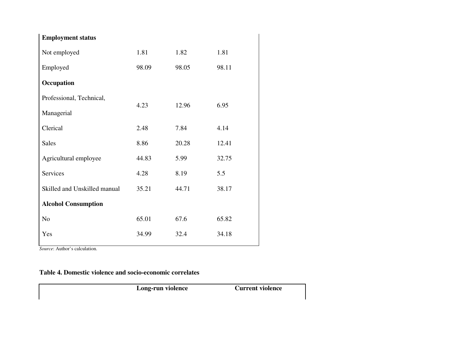| <b>Employment status</b>     |       |       |       |
|------------------------------|-------|-------|-------|
| Not employed                 | 1.81  | 1.82  | 1.81  |
| Employed                     | 98.09 | 98.05 | 98.11 |
| Occupation                   |       |       |       |
| Professional, Technical,     | 4.23  | 12.96 | 6.95  |
| Managerial                   |       |       |       |
| Clerical                     | 2.48  | 7.84  | 4.14  |
| <b>Sales</b>                 | 8.86  | 20.28 | 12.41 |
| Agricultural employee        | 44.83 | 5.99  | 32.75 |
| Services                     | 4.28  | 8.19  | 5.5   |
| Skilled and Unskilled manual | 35.21 | 44.71 | 38.17 |
| <b>Alcohol Consumption</b>   |       |       |       |
| N <sub>o</sub>               | 65.01 | 67.6  | 65.82 |
| Yes                          | 34.99 | 32.4  | 34.18 |

*Source*: Author's calculation.

**Table 4. Domestic violence and socio-economic correlates**

**Long-run violence Current violence**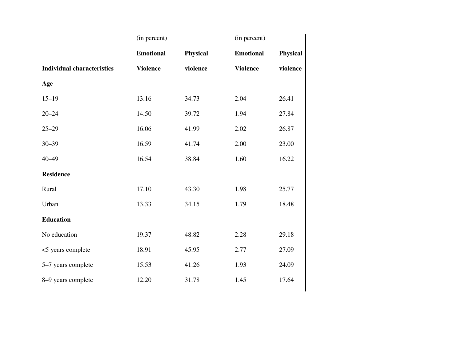|                                   | (in percent)     |                 | (in percent)     |                 |
|-----------------------------------|------------------|-----------------|------------------|-----------------|
|                                   | <b>Emotional</b> | <b>Physical</b> | <b>Emotional</b> | <b>Physical</b> |
| <b>Individual characteristics</b> | <b>Violence</b>  | violence        | <b>Violence</b>  | violence        |
| Age                               |                  |                 |                  |                 |
| $15 - 19$                         | 13.16            | 34.73           | 2.04             | 26.41           |
| $20 - 24$                         | 14.50            | 39.72           | 1.94             | 27.84           |
| $25 - 29$                         | 16.06            | 41.99           | 2.02             | 26.87           |
| $30 - 39$                         | 16.59            | 41.74           | 2.00             | 23.00           |
| $40 - 49$                         | 16.54            | 38.84           | 1.60             | 16.22           |
| <b>Residence</b>                  |                  |                 |                  |                 |
| Rural                             | 17.10            | 43.30           | 1.98             | 25.77           |
| Urban                             | 13.33            | 34.15           | 1.79             | 18.48           |
| <b>Education</b>                  |                  |                 |                  |                 |
| No education                      | 19.37            | 48.82           | 2.28             | 29.18           |
| <5 years complete                 | 18.91            | 45.95           | 2.77             | 27.09           |
| 5-7 years complete                | 15.53            | 41.26           | 1.93             | 24.09           |
| 8-9 years complete                | 12.20            | 31.78           | 1.45             | 17.64           |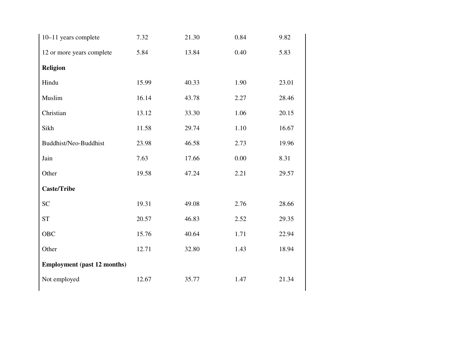| 10-11 years complete               | 7.32  | 21.30 | 0.84 | 9.82  |
|------------------------------------|-------|-------|------|-------|
| 12 or more years complete          | 5.84  | 13.84 | 0.40 | 5.83  |
| <b>Religion</b>                    |       |       |      |       |
| Hindu                              | 15.99 | 40.33 | 1.90 | 23.01 |
| Muslim                             | 16.14 | 43.78 | 2.27 | 28.46 |
| Christian                          | 13.12 | 33.30 | 1.06 | 20.15 |
| Sikh                               | 11.58 | 29.74 | 1.10 | 16.67 |
| Buddhist/Neo-Buddhist              | 23.98 | 46.58 | 2.73 | 19.96 |
| Jain                               | 7.63  | 17.66 | 0.00 | 8.31  |
| Other                              | 19.58 | 47.24 | 2.21 | 29.57 |
| <b>Caste/Tribe</b>                 |       |       |      |       |
| <b>SC</b>                          | 19.31 | 49.08 | 2.76 | 28.66 |
| <b>ST</b>                          | 20.57 | 46.83 | 2.52 | 29.35 |
| <b>OBC</b>                         | 15.76 | 40.64 | 1.71 | 22.94 |
| Other                              | 12.71 | 32.80 | 1.43 | 18.94 |
| <b>Employment (past 12 months)</b> |       |       |      |       |
| Not employed                       | 12.67 | 35.77 | 1.47 | 21.34 |
|                                    |       |       |      |       |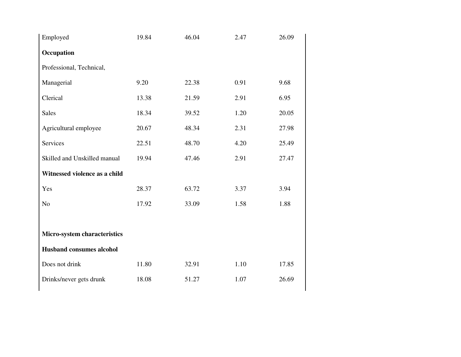| Employed                        | 19.84 | 46.04 | 2.47 | 26.09 |
|---------------------------------|-------|-------|------|-------|
| Occupation                      |       |       |      |       |
| Professional, Technical,        |       |       |      |       |
| Managerial                      | 9.20  | 22.38 | 0.91 | 9.68  |
| Clerical                        | 13.38 | 21.59 | 2.91 | 6.95  |
| <b>Sales</b>                    | 18.34 | 39.52 | 1.20 | 20.05 |
| Agricultural employee           | 20.67 | 48.34 | 2.31 | 27.98 |
| <b>Services</b>                 | 22.51 | 48.70 | 4.20 | 25.49 |
| Skilled and Unskilled manual    | 19.94 | 47.46 | 2.91 | 27.47 |
| Witnessed violence as a child   |       |       |      |       |
| Yes                             | 28.37 | 63.72 | 3.37 | 3.94  |
| N <sub>o</sub>                  | 17.92 | 33.09 | 1.58 | 1.88  |
|                                 |       |       |      |       |
| Micro-system characteristics    |       |       |      |       |
| <b>Husband consumes alcohol</b> |       |       |      |       |
| Does not drink                  | 11.80 | 32.91 | 1.10 | 17.85 |
| Drinks/never gets drunk         | 18.08 | 51.27 | 1.07 | 26.69 |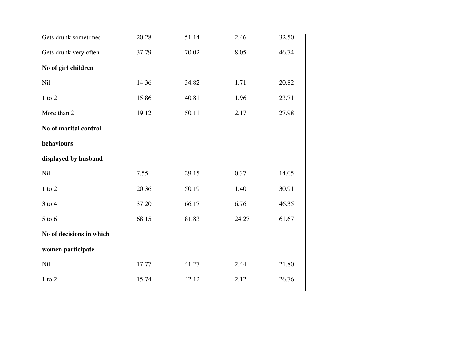| Gets drunk sometimes     | 20.28 | 51.14 | 2.46  | 32.50 |
|--------------------------|-------|-------|-------|-------|
| Gets drunk very often    | 37.79 | 70.02 | 8.05  | 46.74 |
| No of girl children      |       |       |       |       |
| Nil                      | 14.36 | 34.82 | 1.71  | 20.82 |
| $1$ to $2$               | 15.86 | 40.81 | 1.96  | 23.71 |
| More than 2              | 19.12 | 50.11 | 2.17  | 27.98 |
| No of marital control    |       |       |       |       |
| behaviours               |       |       |       |       |
| displayed by husband     |       |       |       |       |
| Nil                      | 7.55  | 29.15 | 0.37  | 14.05 |
| $1$ to $2$               | 20.36 | 50.19 | 1.40  | 30.91 |
| $3$ to $4$               | 37.20 | 66.17 | 6.76  | 46.35 |
| $5$ to $6$               | 68.15 | 81.83 | 24.27 | 61.67 |
| No of decisions in which |       |       |       |       |
| women participate        |       |       |       |       |
| Nil                      | 17.77 | 41.27 | 2.44  | 21.80 |
| $1$ to $2$               | 15.74 | 42.12 | 2.12  | 26.76 |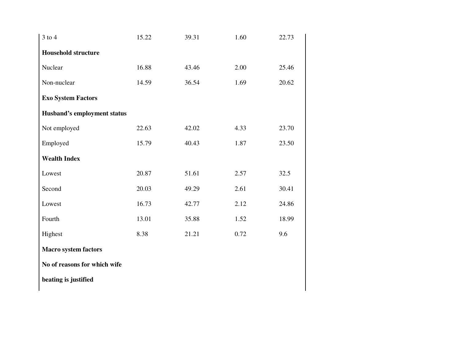| $3$ to $4$                         | 15.22 | 39.31 | 1.60 | 22.73 |
|------------------------------------|-------|-------|------|-------|
| <b>Household structure</b>         |       |       |      |       |
| Nuclear                            | 16.88 | 43.46 | 2.00 | 25.46 |
| Non-nuclear                        | 14.59 | 36.54 | 1.69 | 20.62 |
| <b>Exo System Factors</b>          |       |       |      |       |
| <b>Husband's employment status</b> |       |       |      |       |
| Not employed                       | 22.63 | 42.02 | 4.33 | 23.70 |
| Employed                           | 15.79 | 40.43 | 1.87 | 23.50 |
| <b>Wealth Index</b>                |       |       |      |       |
| Lowest                             | 20.87 | 51.61 | 2.57 | 32.5  |
| Second                             | 20.03 | 49.29 | 2.61 | 30.41 |
| Lowest                             | 16.73 | 42.77 | 2.12 | 24.86 |
| Fourth                             | 13.01 | 35.88 | 1.52 | 18.99 |
| Highest                            | 8.38  | 21.21 | 0.72 | 9.6   |
| <b>Macro system factors</b>        |       |       |      |       |
| No of reasons for which wife       |       |       |      |       |
| beating is justified               |       |       |      |       |
|                                    |       |       |      |       |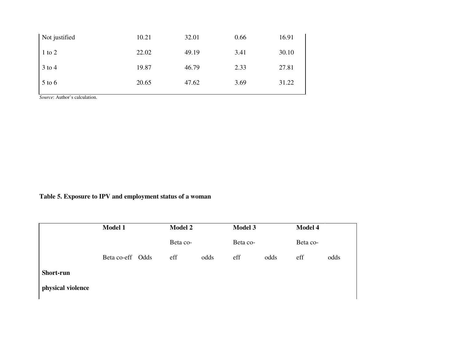| Not justified | 10.21 | 32.01 | 0.66 | 16.91 |
|---------------|-------|-------|------|-------|
| $1$ to $2$    | 22.02 | 49.19 | 3.41 | 30.10 |
| 3 to 4        | 19.87 | 46.79 | 2.33 | 27.81 |
| $5$ to 6      | 20.65 | 47.62 | 3.69 | 31.22 |

*Source*: Author's calculation.

## **Table 5. Exposure to IPV and employment status of a woman**

|                   | Model 1          | <b>Model 2</b> |      | Model 3  |      | Model 4  |      |
|-------------------|------------------|----------------|------|----------|------|----------|------|
|                   |                  | Beta co-       |      | Beta co- |      | Beta co- |      |
|                   | Beta co-eff Odds | eff            | odds | eff      | odds | eff      | odds |
| <b>Short-run</b>  |                  |                |      |          |      |          |      |
| physical violence |                  |                |      |          |      |          |      |
|                   |                  |                |      |          |      |          |      |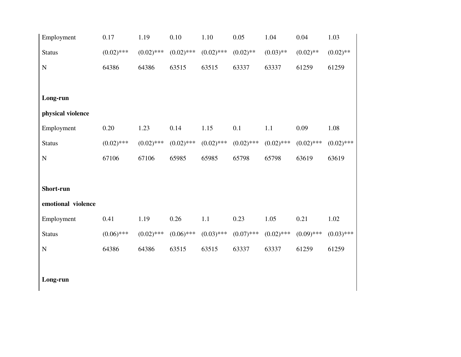| Employment         | 0.17         | 1.19         | 0.10         | 1.10         | 0.05         | 1.04         | 0.04         | 1.03         |
|--------------------|--------------|--------------|--------------|--------------|--------------|--------------|--------------|--------------|
| <b>Status</b>      | $(0.02)$ *** | $(0.02)$ *** | $(0.02)$ *** | $(0.02)$ *** | $(0.02)$ **  | $(0.03)$ **  | $(0.02)$ **  | $(0.02)$ **  |
| ${\bf N}$          | 64386        | 64386        | 63515        | 63515        | 63337        | 63337        | 61259        | 61259        |
|                    |              |              |              |              |              |              |              |              |
| Long-run           |              |              |              |              |              |              |              |              |
| physical violence  |              |              |              |              |              |              |              |              |
| Employment         | 0.20         | 1.23         | 0.14         | 1.15         | 0.1          | 1.1          | 0.09         | 1.08         |
| <b>Status</b>      | $(0.02)$ *** | $(0.02)$ *** | $(0.02)$ *** | $(0.02)$ *** | $(0.02)$ *** | $(0.02)$ *** | $(0.02)$ *** | $(0.02)$ *** |
| ${\bf N}$          | 67106        | 67106        | 65985        | 65985        | 65798        | 65798        | 63619        | 63619        |
|                    |              |              |              |              |              |              |              |              |
| Short-run          |              |              |              |              |              |              |              |              |
| emotional violence |              |              |              |              |              |              |              |              |
| Employment         | 0.41         | 1.19         | 0.26         | 1.1          | 0.23         | 1.05         | 0.21         | 1.02         |
| <b>Status</b>      | $(0.06)$ *** | $(0.02)$ *** | $(0.06)$ *** | $(0.03)$ *** | $(0.07)$ *** | $(0.02)$ *** | $(0.09)$ *** | $(0.03)$ *** |
| ${\bf N}$          | 64386        | 64386        | 63515        | 63515        | 63337        | 63337        | 61259        | 61259        |
|                    |              |              |              |              |              |              |              |              |
| Long-run           |              |              |              |              |              |              |              |              |

 $\mathsf{l}$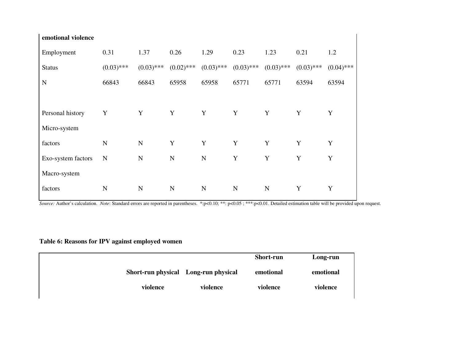| emotional violence |              |              |              |              |              |              |              |              |
|--------------------|--------------|--------------|--------------|--------------|--------------|--------------|--------------|--------------|
| Employment         | 0.31         | 1.37         | 0.26         | 1.29         | 0.23         | 1.23         | 0.21         | 1.2          |
| <b>Status</b>      | $(0.03)$ *** | $(0.03)$ *** | $(0.02)$ *** | $(0.03)$ *** | $(0.03)$ *** | $(0.03)$ *** | $(0.03)$ *** | $(0.04)$ *** |
| N                  | 66843        | 66843        | 65958        | 65958        | 65771        | 65771        | 63594        | 63594        |
|                    |              |              |              |              |              |              |              |              |
| Personal history   | Y            | Y            | Y            | Y            | Y            | Y            | Y            | Y            |
| Micro-system       |              |              |              |              |              |              |              |              |
| factors            | $\mathbf N$  | $\mathbf N$  | Y            | Y            | Y            | Y            | Y            | Y            |
| Exo-system factors | N            | $\mathbf N$  | $\mathbf N$  | $\mathbf N$  | Y            | Y            | Y            | Y            |
| Macro-system       |              |              |              |              |              |              |              |              |
| factors            | N            | $\mathbf N$  | $\mathbf N$  | $\mathbf N$  | N            | N            | Y            | Y            |
|                    |              |              |              |              |              |              |              |              |

*Source:* Author's calculation. *Note*: Standard errors are reported in parentheses. \*:p<0.10; \*\*: p<0.05 ; \*\*\*:p<0.01. Detailed estimation table will be provided upon request.

## **Table 6: Reasons for IPV against employed women**

|                                      | <b>Short-run</b> | Long-run  |
|--------------------------------------|------------------|-----------|
| Short-run physical Long-run physical | emotional        | emotional |
| violence<br>violence                 | violence         | violence  |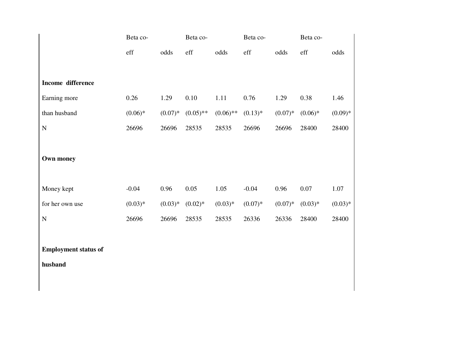|                                        | Beta co-  |           | Beta co-    |             | Beta co-  |           | Beta co-  |           |
|----------------------------------------|-----------|-----------|-------------|-------------|-----------|-----------|-----------|-----------|
|                                        | eff       | odds      | eff         | odds        | eff       | odds      | eff       | odds      |
| Income difference                      |           |           |             |             |           |           |           |           |
| Earning more                           | 0.26      | 1.29      | 0.10        | 1.11        | 0.76      | 1.29      | 0.38      | 1.46      |
| than husband                           | $(0.06)*$ | $(0.07)*$ | $(0.05)$ ** | $(0.06)$ ** | $(0.13)*$ | $(0.07)*$ | $(0.06)*$ | $(0.09)*$ |
| ${\bf N}$                              | 26696     | 26696     | 28535       | 28535       | 26696     | 26696     | 28400     | 28400     |
| Own money                              |           |           |             |             |           |           |           |           |
| Money kept                             | $-0.04$   | 0.96      | 0.05        | 1.05        | $-0.04$   | 0.96      | 0.07      | 1.07      |
| for her own use                        | $(0.03)*$ | $(0.03)*$ | $(0.02)*$   | $(0.03)*$   | $(0.07)*$ | $(0.07)*$ | $(0.03)*$ | $(0.03)*$ |
| ${\bf N}$                              | 26696     | 26696     | 28535       | 28535       | 26336     | 26336     | 28400     | 28400     |
| <b>Employment status of</b><br>husband |           |           |             |             |           |           |           |           |